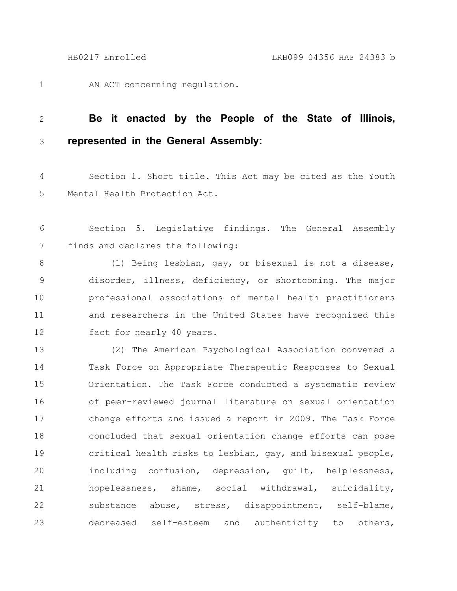1

AN ACT concerning regulation.

## **Be it enacted by the People of the State of Illinois, represented in the General Assembly:** 2 3

Section 1. Short title. This Act may be cited as the Youth Mental Health Protection Act. 4 5

Section 5. Legislative findings. The General Assembly finds and declares the following: 6 7

(1) Being lesbian, gay, or bisexual is not a disease, disorder, illness, deficiency, or shortcoming. The major professional associations of mental health practitioners and researchers in the United States have recognized this fact for nearly 40 years. 8 9 10 11 12

(2) The American Psychological Association convened a Task Force on Appropriate Therapeutic Responses to Sexual Orientation. The Task Force conducted a systematic review of peer-reviewed journal literature on sexual orientation change efforts and issued a report in 2009. The Task Force concluded that sexual orientation change efforts can pose critical health risks to lesbian, gay, and bisexual people, including confusion, depression, guilt, helplessness, hopelessness, shame, social withdrawal, suicidality, substance abuse, stress, disappointment, self-blame, decreased self-esteem and authenticity to others, 13 14 15 16 17 18 19 20 21 22 23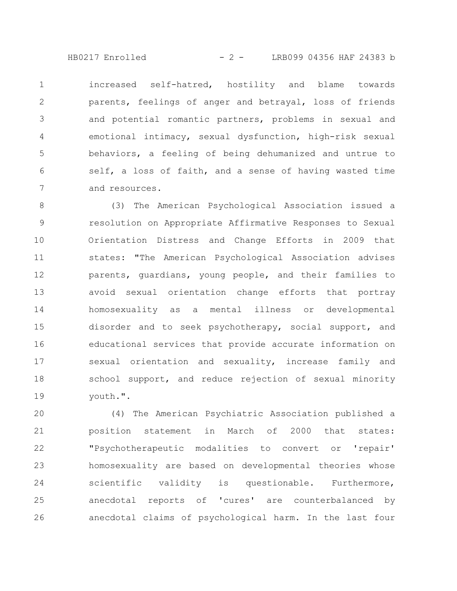HB0217 Enrolled - 2 - LRB099 04356 HAF 24383 b

increased self-hatred, hostility and blame towards parents, feelings of anger and betrayal, loss of friends and potential romantic partners, problems in sexual and emotional intimacy, sexual dysfunction, high-risk sexual behaviors, a feeling of being dehumanized and untrue to self, a loss of faith, and a sense of having wasted time and resources. 1 2 3 4 5 6 7

(3) The American Psychological Association issued a resolution on Appropriate Affirmative Responses to Sexual Orientation Distress and Change Efforts in 2009 that states: "The American Psychological Association advises parents, guardians, young people, and their families to avoid sexual orientation change efforts that portray homosexuality as a mental illness or developmental disorder and to seek psychotherapy, social support, and educational services that provide accurate information on sexual orientation and sexuality, increase family and school support, and reduce rejection of sexual minority youth.". 8 9 10 11 12 13 14 15 16 17 18 19

(4) The American Psychiatric Association published a position statement in March of 2000 that states: "Psychotherapeutic modalities to convert or 'repair' homosexuality are based on developmental theories whose scientific validity is questionable. Furthermore, anecdotal reports of 'cures' are counterbalanced by anecdotal claims of psychological harm. In the last four 20 21 22 23 24 25 26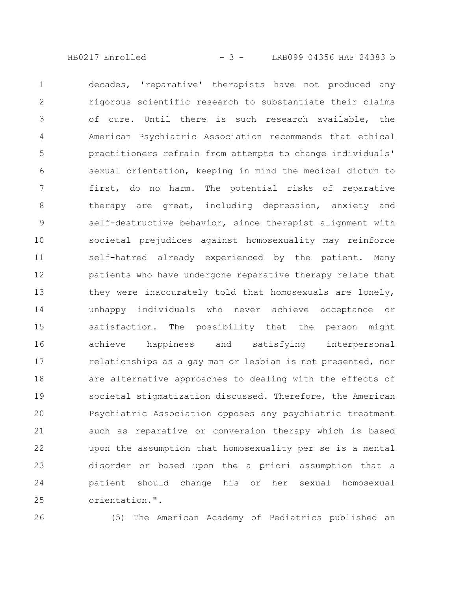HB0217 Enrolled - 3 - LRB099 04356 HAF 24383 b

decades, 'reparative' therapists have not produced any rigorous scientific research to substantiate their claims of cure. Until there is such research available, the American Psychiatric Association recommends that ethical practitioners refrain from attempts to change individuals' sexual orientation, keeping in mind the medical dictum to first, do no harm. The potential risks of reparative therapy are great, including depression, anxiety and self-destructive behavior, since therapist alignment with societal prejudices against homosexuality may reinforce self-hatred already experienced by the patient. Many patients who have undergone reparative therapy relate that they were inaccurately told that homosexuals are lonely, unhappy individuals who never achieve acceptance or satisfaction. The possibility that the person might achieve happiness and satisfying interpersonal relationships as a gay man or lesbian is not presented, nor are alternative approaches to dealing with the effects of societal stigmatization discussed. Therefore, the American Psychiatric Association opposes any psychiatric treatment such as reparative or conversion therapy which is based upon the assumption that homosexuality per se is a mental disorder or based upon the a priori assumption that a patient should change his or her sexual homosexual orientation.". 1 2 3 4 5 6 7 8 9 10 11 12 13 14 15 16 17 18 19 20 21 22 23 24 25

26

(5) The American Academy of Pediatrics published an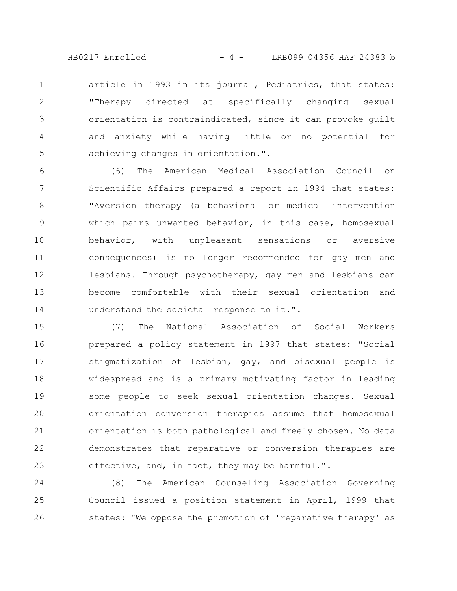HB0217 Enrolled - 4 - LRB099 04356 HAF 24383 b

article in 1993 in its journal, Pediatrics, that states: "Therapy directed at specifically changing sexual orientation is contraindicated, since it can provoke guilt and anxiety while having little or no potential for achieving changes in orientation.". 1 2 3 4 5

(6) The American Medical Association Council on Scientific Affairs prepared a report in 1994 that states: "Aversion therapy (a behavioral or medical intervention which pairs unwanted behavior, in this case, homosexual behavior, with unpleasant sensations or aversive consequences) is no longer recommended for gay men and lesbians. Through psychotherapy, gay men and lesbians can become comfortable with their sexual orientation and understand the societal response to it.". 6 7 8 9 10 11 12 13 14

(7) The National Association of Social Workers prepared a policy statement in 1997 that states: "Social stigmatization of lesbian, gay, and bisexual people is widespread and is a primary motivating factor in leading some people to seek sexual orientation changes. Sexual orientation conversion therapies assume that homosexual orientation is both pathological and freely chosen. No data demonstrates that reparative or conversion therapies are effective, and, in fact, they may be harmful.". 15 16 17 18 19 20 21 22 23

(8) The American Counseling Association Governing Council issued a position statement in April, 1999 that states: "We oppose the promotion of 'reparative therapy' as 24 25 26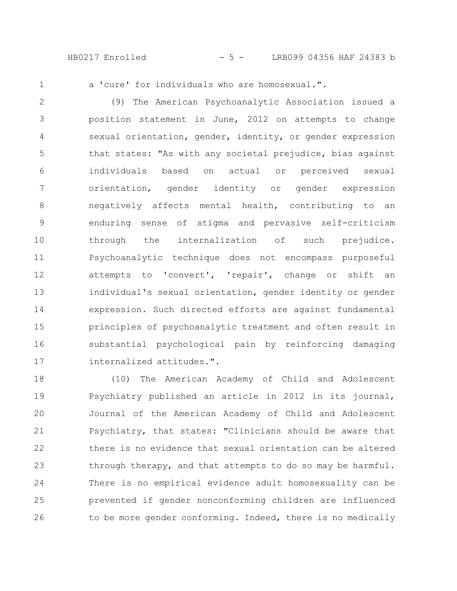HB0217 Enrolled - 5 - LRB099 04356 HAF 24383 b

1

a 'cure' for individuals who are homosexual.".

(9) The American Psychoanalytic Association issued a position statement in June, 2012 on attempts to change sexual orientation, gender, identity, or gender expression that states: "As with any societal prejudice, bias against individuals based on actual or perceived sexual orientation, gender identity or gender expression negatively affects mental health, contributing to an enduring sense of stigma and pervasive self-criticism through the internalization of such prejudice. Psychoanalytic technique does not encompass purposeful attempts to 'convert', 'repair', change or shift an individual's sexual orientation, gender identity or gender expression. Such directed efforts are against fundamental principles of psychoanalytic treatment and often result in substantial psychological pain by reinforcing damaging internalized attitudes.". 2 3 4 5 6 7 8 9 10 11 12 13 14 15 16 17

(10) The American Academy of Child and Adolescent Psychiatry published an article in 2012 in its journal, Journal of the American Academy of Child and Adolescent Psychiatry, that states: "Clinicians should be aware that there is no evidence that sexual orientation can be altered through therapy, and that attempts to do so may be harmful. There is no empirical evidence adult homosexuality can be prevented if gender nonconforming children are influenced to be more gender conforming. Indeed, there is no medically 18 19 20 21 22 23 24 25 26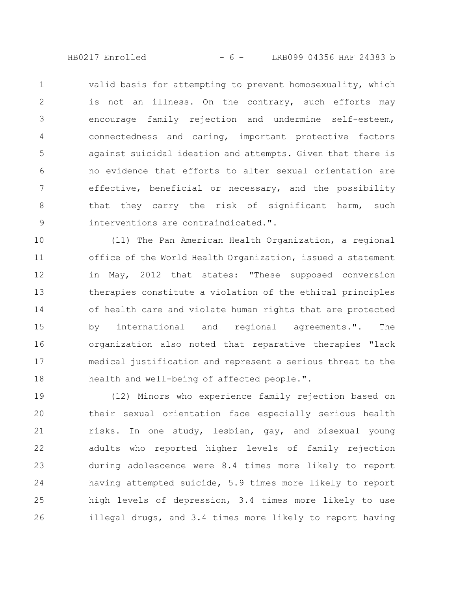HB0217 Enrolled - 6 - LRB099 04356 HAF 24383 b

valid basis for attempting to prevent homosexuality, which is not an illness. On the contrary, such efforts may encourage family rejection and undermine self-esteem, connectedness and caring, important protective factors against suicidal ideation and attempts. Given that there is no evidence that efforts to alter sexual orientation are effective, beneficial or necessary, and the possibility that they carry the risk of significant harm, such interventions are contraindicated.". 1 2 3 4 5 6 7 8 9

(11) The Pan American Health Organization, a regional office of the World Health Organization, issued a statement in May, 2012 that states: "These supposed conversion therapies constitute a violation of the ethical principles of health care and violate human rights that are protected by international and regional agreements.". The organization also noted that reparative therapies "lack medical justification and represent a serious threat to the health and well-being of affected people.". 10 11 12 13 14 15 16 17 18

(12) Minors who experience family rejection based on their sexual orientation face especially serious health risks. In one study, lesbian, gay, and bisexual young adults who reported higher levels of family rejection during adolescence were 8.4 times more likely to report having attempted suicide, 5.9 times more likely to report high levels of depression, 3.4 times more likely to use illegal drugs, and 3.4 times more likely to report having 19 20 21 22 23 24 25 26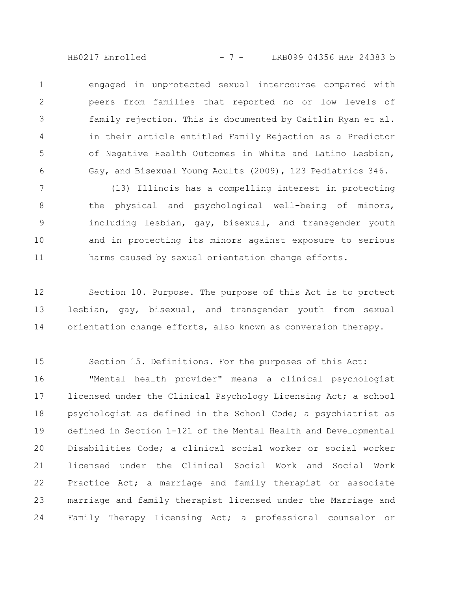HB0217 Enrolled - 7 - LRB099 04356 HAF 24383 b

engaged in unprotected sexual intercourse compared with peers from families that reported no or low levels of family rejection. This is documented by Caitlin Ryan et al. in their article entitled Family Rejection as a Predictor of Negative Health Outcomes in White and Latino Lesbian, Gay, and Bisexual Young Adults (2009), 123 Pediatrics 346. 1 2 3 4 5 6

(13) Illinois has a compelling interest in protecting the physical and psychological well-being of minors, including lesbian, gay, bisexual, and transgender youth and in protecting its minors against exposure to serious harms caused by sexual orientation change efforts. 7 8 9 10 11

Section 10. Purpose. The purpose of this Act is to protect lesbian, gay, bisexual, and transgender youth from sexual orientation change efforts, also known as conversion therapy. 12 13 14

Section 15. Definitions. For the purposes of this Act: "Mental health provider" means a clinical psychologist licensed under the Clinical Psychology Licensing Act; a school psychologist as defined in the School Code; a psychiatrist as defined in Section 1-121 of the Mental Health and Developmental Disabilities Code; a clinical social worker or social worker licensed under the Clinical Social Work and Social Work Practice Act; a marriage and family therapist or associate marriage and family therapist licensed under the Marriage and Family Therapy Licensing Act; a professional counselor or 15 16 17 18 19 20 21 22 23 24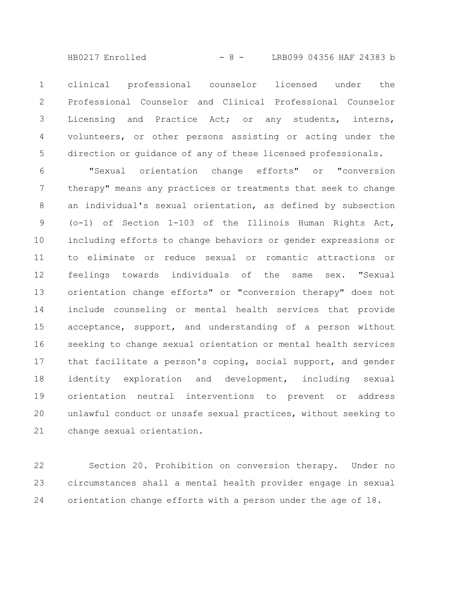- 8 -HB0217 Enrolled LRB099 04356 HAF 24383 b

clinical professional counselor licensed under the Professional Counselor and Clinical Professional Counselor Licensing and Practice Act; or any students, interns, volunteers, or other persons assisting or acting under the direction or guidance of any of these licensed professionals. 1 2 3 4 5

"Sexual orientation change efforts" or "conversion therapy" means any practices or treatments that seek to change an individual's sexual orientation, as defined by subsection (o-1) of Section 1-103 of the Illinois Human Rights Act, including efforts to change behaviors or gender expressions or to eliminate or reduce sexual or romantic attractions or feelings towards individuals of the same sex. "Sexual orientation change efforts" or "conversion therapy" does not include counseling or mental health services that provide acceptance, support, and understanding of a person without seeking to change sexual orientation or mental health services that facilitate a person's coping, social support, and gender identity exploration and development, including sexual orientation neutral interventions to prevent or address unlawful conduct or unsafe sexual practices, without seeking to change sexual orientation. 6 7 8 9 10 11 12 13 14 15 16 17 18 19 20 21

Section 20. Prohibition on conversion therapy. Under no circumstances shall a mental health provider engage in sexual orientation change efforts with a person under the age of 18. 22 23 24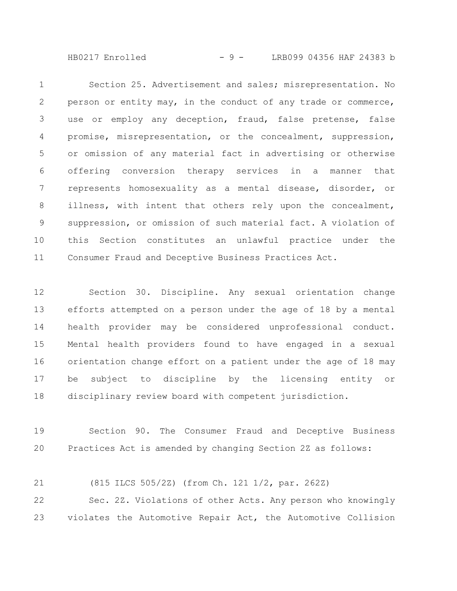HB0217 Enrolled - 9 - LRB099 04356 HAF 24383 b

Section 25. Advertisement and sales; misrepresentation. No person or entity may, in the conduct of any trade or commerce, use or employ any deception, fraud, false pretense, false promise, misrepresentation, or the concealment, suppression, or omission of any material fact in advertising or otherwise offering conversion therapy services in a manner that represents homosexuality as a mental disease, disorder, or illness, with intent that others rely upon the concealment, suppression, or omission of such material fact. A violation of this Section constitutes an unlawful practice under the Consumer Fraud and Deceptive Business Practices Act. 1 2 3 4 5 6 7 8 9 10 11

Section 30. Discipline. Any sexual orientation change efforts attempted on a person under the age of 18 by a mental health provider may be considered unprofessional conduct. Mental health providers found to have engaged in a sexual orientation change effort on a patient under the age of 18 may be subject to discipline by the licensing entity or disciplinary review board with competent jurisdiction. 12 13 14 15 16 17 18

Section 90. The Consumer Fraud and Deceptive Business Practices Act is amended by changing Section 2Z as follows: 19 20

(815 ILCS 505/2Z) (from Ch. 121 1/2, par. 262Z) Sec. 2Z. Violations of other Acts. Any person who knowingly 21 22

violates the Automotive Repair Act, the Automotive Collision 23